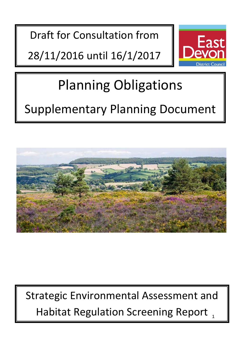Draft for Consultation from

28/11/2016 until 16/1/2017



# Planning Obligations

## Supplementary Planning Document



Habitat Regulation Screening Report, Strategic Environmental Assessment and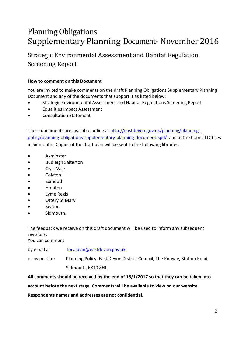### Planning Obligations Supplementary Planning Document- November2016

Strategic Environmental Assessment and Habitat Regulation Screening Report

#### **How to comment on this Document**

You are invited to make comments on the draft Planning Obligations Supplementary Planning Document and any of the documents that support it as listed below:

- Strategic Environmental Assessment and Habitat Regulations Screening Report
- Equalities Impact Assessment
- Consultation Statement

These documents are available online at [http://eastdevon.gov.uk/planning/planning](http://eastdevon.gov.uk/planning/planning-policy/planning-obligations-supplementary-planning-document-spd/)[policy/planning-obligations-supplementary-planning-document-spd/](http://eastdevon.gov.uk/planning/planning-policy/planning-obligations-supplementary-planning-document-spd/) and at the Council Offices in Sidmouth. Copies of the draft plan will be sent to the following libraries.

- Axminster
- Budleigh Salterton
- Clyst Vale
- **Colyton**
- **Exmouth**
- Honiton
- Lyme Regis
- **Ottery St Mary**
- Seaton
- Sidmouth.

The feedback we receive on this draft document will be used to inform any subsequent revisions.

You can comment:

by email at [localplan@eastdevon.gov.uk](mailto:localplan@eastdevon.gov.uk)

or by post to: Planning Policy, East Devon District Council, The Knowle, Station Road, Sidmouth, EX10 8HL

**All comments should be received by the end of 16/1/2017 so that they can be taken into** 

**account before the next stage. Comments will be available to view on our website.** 

**Respondents names and addresses are not confidential.**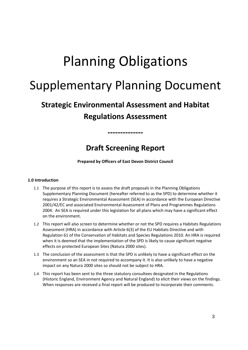## Planning Obligations

## Supplementary Planning Document

### **Strategic Environmental Assessment and Habitat Regulations Assessment**

### **Draft Screening Report**

**--------------**

**Prepared by Officers of East Devon District Council**

#### **1.0 Introduction**

- 1.1 The purpose of this report is to assess the draft proposals in the Planning Obligations Supplementary Planning Document (hereafter referred to as the SPD) to determine whether it requires a Strategic Environmental Assessment (SEA) in accordance with the European Directive 2001/42/EC and associated Environmental Assessment of Plans and Programmes Regulations 2004. An SEA is required under this legislation for all plans which may have a significant effect on the environment.
- 1.2 This report will also screen to determine whether or not the SPD requires a Habitats Regulations Assessment (HRA) in accordance with Article 6(3) of the EU Habitats Directive and with Regulation 61 of the Conservation of Habitats and Species Regulations 2010. An HRA is required when it is deemed that the implementation of the SPD is likely to cause significant negative effects on protected European Sites (Natura 2000 sites).
- 1.3 The conclusion of the assessment is that the SPD is unlikely to have a significant effect on the environment so an SEA in not required to accompany it. It is also unlikely to have a negative impact on any Natura 2000 sites so should not be subject to HRA.
- 1.4 This report has been sent to the three statutory consultees designated in the Regulations (Historic England, Environment Agency and Natural England) to elicit their views on the findings. When responses are received a final report will be produced to incorporate their comments.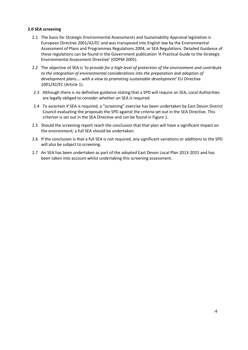#### **2.0 SEA screening**

- 2.1 The basis for Strategic Environmental Assessments and Sustainability Appraisal legislation is European Directive 2001/42/EC and was transposed into English law by the Environmental Assessment of Plans and Programmes Regulations 2004, or SEA Regulations. Detailed Guidance of these regulations can be found in the Government publication 'A Practical Guide to the Strategic Environmental Assessment Directive' (ODPM 2005).
- 2.2 The objective of SEA is '*to provide for a high level of protection of the environment and contribute*  to the integration of environmental considerations into the preparation and adoption of *development plans.... with a view to promoting sustainable development'* EU Directive 2001/42/EC (Article 1).
- 2.3 Although there is no definitive guidance stating that a SPD will require an SEA, Local Authorities are legally obliged to consider whether an SEA is required.
- 2.4 To ascertain if SEA is required, a "screening" exercise has been undertaken by East Devon District Council evaluating the proposals the SPD against the criteria set out in the SEA Directive. This criterion is set out in the SEA Directive and can be found in Figure 1.
- 2.5 Should the screening report reach the conclusion that that plan will have a significant impact on the environment; a full SEA should be undertaken.
- 2.6 If the conclusion is that a full SEA is not required, any significant variations or additions to the SPD will also be subject to screening.
- 2.7 An SEA has been undertaken as part of the adopted East Devon Local Plan 2013-2031 and has been taken into account whilst undertaking this screening assessment.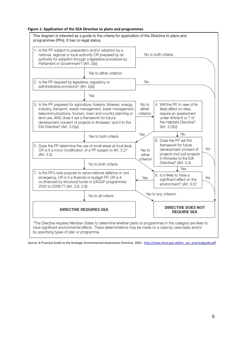#### **Figure 1: Application of the SEA Directive to plans and programmes**



Source: A Practical Guide to the Strategic Environmental Assessment Directive, 2005 - [http://www.ehsni.gov.uk/bm\\_sea\\_practicalguide.pdf](http://www.ehsni.gov.uk/bm_sea_practicalguide.pdf)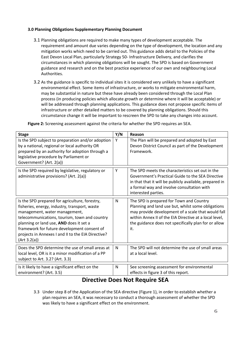#### **3.0 Planning Obligations Supplementary Planning Document**

- 3.1 Planning obligations are required to make many types of development acceptable. The requirement and amount due varies depending on the type of development, the location and any mitigation works which need to be carried out. This guidance adds detail to the Policies of the East Devon Local Plan, particularly Strategy 50- Infrastructure Delivery, and clarifies the circumstances in which planning obligations will be sought. The SPD is based on Government guidance and research and on the best practice experience of our own and neighbouring Local Authorities.
- 3.2 As the guidance is specific to individual sites it is considered very unlikely to have a significant environmental effect. Some items of infrastructure, or works to mitigate environmental harm, may be substantial in nature but these have already been considered through the Local Plan process (in producing policies which allocate growth or determine where it will be acceptable) or will be addressed through planning applications. This guidance does not propose specific items of infrastructure or other detailed matters to be covered by planning obligations. Should this circumstance change it will be important to rescreen the SPD to take any changes into account.

**Figure 2:** Screening assessment against the criteria for whether the SPD requires an SEA.

| <b>Stage</b>                                                                                                                                                                                                                                                                                                                                      | Y/N          | Reason                                                                                                                                                                                                                                                                        |
|---------------------------------------------------------------------------------------------------------------------------------------------------------------------------------------------------------------------------------------------------------------------------------------------------------------------------------------------------|--------------|-------------------------------------------------------------------------------------------------------------------------------------------------------------------------------------------------------------------------------------------------------------------------------|
| Is the SPD subject to preparation and/or adoption<br>by a national, regional or local authority OR<br>prepared by an authority for adoption through a<br>legislative procedure by Parliament or<br>Government? (Art. 2(a))                                                                                                                        | Y            | The Plan will be prepared and adopted by East<br>Devon District Council as part of the Development<br>Framework.                                                                                                                                                              |
| Is the SPD required by legislative, regulatory or<br>administrative provisions? (Art. 2(a))                                                                                                                                                                                                                                                       | Y            | The SPD meets the characteristics set out in the<br>Government's Practical Guide to the SEA Directive<br>in that that it will be publicly available, prepared in<br>a formal way and involve consultation with<br>interested parties.                                         |
| Is the SPD prepared for agriculture, forestry,<br>fisheries, energy, industry, transport, waste<br>management, water management,<br>telecommunications, tourism, town and country<br>planning or land use, AND does it set a<br>framework for future development consent of<br>projects in Annexes I and II to the EIA Directive?<br>(Art 3.2(a)) | N            | The SPD is prepared for Town and Country<br>Planning and land use but, whilst some obligations<br>may provide development of a scale that would fall<br>within Annex II of the EIA Directive at a local level,<br>the guidance does not specifically plan for or allow<br>it. |
| Does the SPD determine the use of small areas at<br>local level, OR is it a minor modification of a PP<br>subject to Art. 3.2? (Art. 3.3)                                                                                                                                                                                                         | $\mathsf{N}$ | The SPD will not determine the use of small areas<br>at a local level.                                                                                                                                                                                                        |
| Is it likely to have a significant effect on the<br>environment? (Art. 3.5)                                                                                                                                                                                                                                                                       | N            | See screening assessment for environmental<br>effects in figure 3 of this report.                                                                                                                                                                                             |

#### **Directive Does Not Require SEA**

3.3 Under step 8 of the Application of the SEA directive (Figure 1), in order to establish whether a plan requires an SEA, it was necessary to conduct a thorough assessment of whether the SPD was likely to have a significant effect on the environment.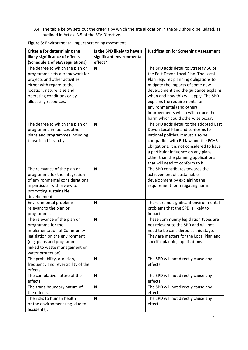3.4 The table below sets out the criteria by which the site allocation in the SPD should be judged, as outlined in Article 3.5 of the SEA Directive.

| Criteria for determining the               | Is the SPD likely to have a | <b>Justification for Screening Assessment</b> |
|--------------------------------------------|-----------------------------|-----------------------------------------------|
| likely significance of effects             | significant environmental   |                                               |
| (Schedule 1 of SEA regulations)            | effect?                     |                                               |
| The degree to which the plan or            | N                           | The SPD adds detail to Strategy 50 of         |
| programme sets a framework for             |                             | the East Devon Local Plan. The Local          |
| projects and other activities,             |                             | Plan requires planning obligations to         |
| either with regard to the                  |                             | mitigate the impacts of some new              |
| location, nature, size and                 |                             | development and the guidance explains         |
| operating conditions or by                 |                             | when and how this will apply. The SPD         |
| allocating resources.                      |                             | explains the requirements for                 |
|                                            |                             | environmental (and other)                     |
|                                            |                             | improvements which will reduce the            |
|                                            |                             | harm which could otherwise occur.             |
| The degree to which the plan or            | N                           | The SPD adds detail to the adopted East       |
| programme influences other                 |                             | Devon Local Plan and conforms to              |
| plans and programmes including             |                             | national policies. It must also be            |
| those in a hierarchy.                      |                             | compatible with EU law and the ECHR           |
|                                            |                             | obligations. It is not considered to have     |
|                                            |                             | a particular influence on any plans           |
|                                            |                             | other than the planning applications          |
|                                            |                             | that will need to conform to it.              |
| The relevance of the plan or               | N                           | The SPD contributes towards the               |
| programme for the integration              |                             | achievement of sustainable                    |
| of environmental considerations            |                             | development by explaining the                 |
| in particular with a view to               |                             | requirement for mitigating harm.              |
| promoting sustainable                      |                             |                                               |
| development.                               |                             |                                               |
| <b>Environmental problems</b>              | N                           | There are no significant environmental        |
| relevant to the plan or                    |                             | problems that the SPD is likely to            |
|                                            |                             | impact.                                       |
| programme.<br>The relevance of the plan or | $\mathbf N$                 | These community legislation types are         |
|                                            |                             | not relevant to the SPD and will not          |
| programme for the                          |                             |                                               |
| implementation of Community                |                             | need to be considered at this stage.          |
| legislation on the environment             |                             | They are matters for the Local Plan and       |
| (e.g. plans and programmes                 |                             | specific planning applications.               |
| linked to waste management or              |                             |                                               |
| water protection).                         |                             |                                               |
| The probability, duration,                 | $\mathbf N$                 | The SPD will not directly cause any           |
| frequency and reversibility of the         |                             | effects.                                      |
| effects.                                   |                             |                                               |
| The cumulative nature of the               | $\mathbf N$                 | The SPD will not directly cause any           |
| effects.                                   |                             | effects.                                      |
| The trans-boundary nature of               | N                           | The SPD will not directly cause any           |
| the effects.                               |                             | effects.                                      |
| The risks to human health                  | $\mathbf N$                 | The SPD will not directly cause any           |
| or the environment (e.g. due to            |                             | effects.                                      |
| accidents).                                |                             |                                               |

**Figure 3:** Environmental impact screening assesment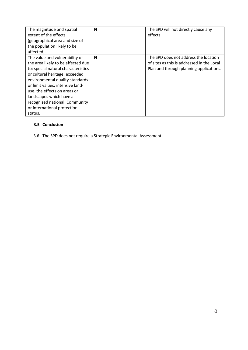| The magnitude and spatial<br>extent of the effects<br>(geographical area and size of                                                                                                                                                                                                                              | N | The SPD will not directly cause any<br>effects.                                                                                |
|-------------------------------------------------------------------------------------------------------------------------------------------------------------------------------------------------------------------------------------------------------------------------------------------------------------------|---|--------------------------------------------------------------------------------------------------------------------------------|
| the population likely to be<br>affected).                                                                                                                                                                                                                                                                         |   |                                                                                                                                |
| The value and vulnerability of<br>the area likely to be affected due<br>to: special natural characteristics<br>or cultural heritage; exceeded<br>environmental quality standards<br>or limit values; intensive land-<br>use. the effects on areas or<br>landscapes which have a<br>recognised national, Community | N | The SPD does not address the location<br>of sites as this is addressed in the Local<br>Plan and through planning applications. |
| or international protection<br>status.                                                                                                                                                                                                                                                                            |   |                                                                                                                                |

#### **3.5 Conclusion**

3.6 The SPD does not require a Strategic Environmental Assessment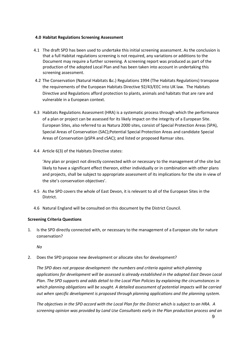#### **4.0 Habitat Regulations Screening Assessment**

- 4.1 The draft SPD has been used to undertake this initial screening assessment. As the conclusion is that a full Habitat regulations screening is not required, any variations or additions to the Document may require a further screening. A screening report was produced as part of the production of the adopted Local Plan and has been taken into account in undertaking this screening assessment.
- 4.2 The Conservation (Natural Habitats &c.) Regulations 1994 (The Habitats Regulations) transpose the requirements of the European Habitats Directive 92/43/EEC into UK law. The Habitats Directive and Regulations afford protection to plants, animals and habitats that are rare and vulnerable in a European context.
- 4.3 Habitats Regulations Assessment (HRA) is a systematic process through which the performance of a plan or project can be assessed for its likely impact on the integrity of a European Site. European Sites, also referred to as Natura 2000 sites, consist of Special Protection Areas (SPA), Special Areas of Conservation (SAC);Potential Special Protection Areas and candidate Special Areas of Conservation (pSPA and cSAC); and listed or proposed Ramsar sites.
- 4.4 Article 6(3) of the Habitats Directive states:

'Any plan or project not directly connected with or necessary to the management of the site but likely to have a significant effect thereon, either individually or in combination with other plans and projects, shall be subject to appropriate assessment of its implications for the site in view of the site's conservation objectives'.

- 4.5 As the SPD covers the whole of East Devon, it is relevant to all of the European Sites in the District.
- 4.6 Natural England will be consulted on this document by the District Council.

#### **Screening Criteria Questions**

1. Is the SPD directly connected with, or necessary to the management of a European site for nature conservation?

*No*

2. Does the SPD propose new development or allocate sites for development?

*The SPD does not propose development- the numbers and criteria against which planning applications for development will be assessed is already established in the adopted East Devon Local Plan. The SPD supports and adds detail to the Local Plan Policies by explaining the circumstances in which planning obligations will be sought. A detailed assessment of potential impacts will be carried out when specific development is proposed through planning applications and the planning system.* 

*The objectives in the SPD accord with the Local Plan for the District which is subject to an HRA. A screening opinion was provided by Land Use Consultants early in the Plan production process and an*